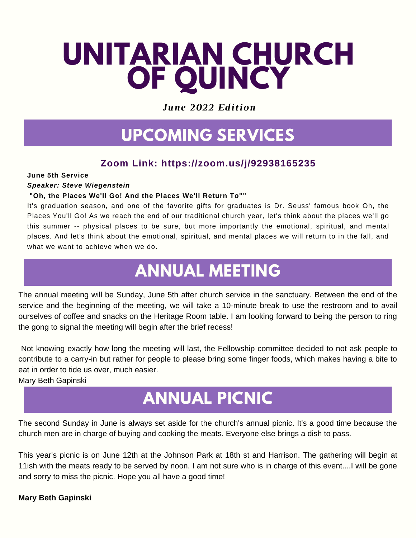# **UNITARIAN CHURCH OF QUINCY**

*June 2022 Edition*

# **UPCOMING SERVICES**

#### **Zoom Link: https://zoom.us/j/92938165235**

#### **June 5th Service**

#### *Speaker: Steve Wiegenstein*

#### **"Oh, the Places We'll Go! And the Places We'll Return To""**

It's graduation season, and one of the favorite gifts for graduates is Dr. Seuss' famous book Oh, the Places You'll Go! As we reach the end of our traditional church year, let's think about the places we'll go this summer -- physical places to be sure, but more importantly the emotional, spiritual, and mental places. And let's think about the emotional, spiritual, and mental places we will return to in the fall, and what we want to achieve when we do.

# **ANNUAL MEETING**

The annual meeting will be Sunday, June 5th after church service in the sanctuary. Between the end of the service and the beginning of the meeting, we will take a 10-minute break to use the restroom and to avail ourselves of coffee and snacks on the Heritage Room table. I am looking forward to being the person to ring the gong to signal the meeting will begin after the brief recess!

Not knowing exactly how long the meeting will last, the Fellowship committee decided to not ask people to contribute to a carry-in but rather for people to please bring some finger foods, which makes having a bite to eat in order to tide us over, much easier.

Mary Beth Gapinski

# **ANNUAL PICNIC**

The second Sunday in June is always set aside for the church's annual picnic. It's a good time because the church men are in charge of buying and cooking the meats. Everyone else brings a dish to pass.

This year's picnic is on June 12th at the Johnson Park at 18th st and Harrison. The gathering will begin at 11ish with the meats ready to be served by noon. I am not sure who is in charge of this event....I will be gone and sorry to miss the picnic. Hope you all have a good time!

#### **Mary Beth Gapinski**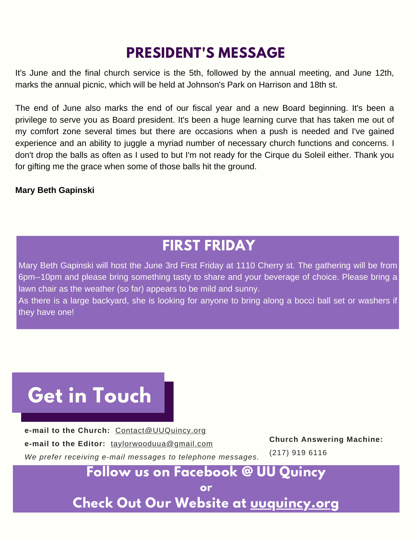### **PRESIDENT'S MESSAGE**

It's June and the final church service is the 5th, followed by the annual meeting, and June 12th, marks the annual picnic, which will be held at Johnson's Park on Harrison and 18th st.

The end of June also marks the end of our fiscal year and a new Board beginning. It's been a privilege to serve you as Board president. It's been a huge learning curve that has taken me out of my comfort zone several times but there are occasions when a push is needed and I've gained experience and an ability to juggle a myriad number of necessary church functions and concerns. I don't drop the balls as often as I used to but I'm not ready for the Cirque du Soleil either. Thank you for gifting me the grace when some of those balls hit the ground.

#### **Mary Beth Gapinski**

### **FIRST FRIDAY**

Mary Beth Gapinski will host the June 3rd First Friday at 1110 Cherry st. The gathering will be from 6pm--10pm and please bring something tasty to share and your beverage of choice. Please bring a lawn chair as the weather (so far) appears to be mild and sunny.

As there is a large backyard, she is looking for anyone to bring along a bocci ball set or washers if they have one!

# **Get in Touch**

**e-mail to the Church:** Contact@UUQuincy.org **e-mail to the Editor:** taylorwooduua@gmail.com *We prefer receiving e-mail messages to telephone messages.*

**Church Answering Machine:**

(217) 919 6116

### **Follow us on Facebook @ UU Quincy**

**or**

**Check Out Our Website at [uuquincy.org](https://uuquincy.org/)**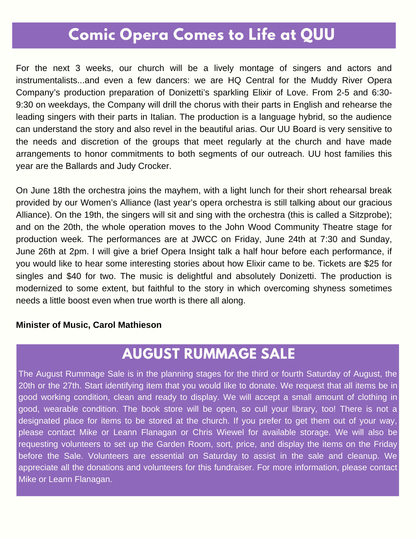### **Comic Opera Comes to Life at QUU**

For the next 3 weeks, our church will be a lively montage of singers and actors and instrumentalists...and even a few dancers: we are HQ Central for the Muddy River Opera Company's production preparation of Donizetti's sparkling Elixir of Love. From 2-5 and 6:30- 9:30 on weekdays, the Company will drill the chorus with their parts in English and rehearse the leading singers with their parts in Italian. The production is a language hybrid, so the audience can understand the story and also revel in the beautiful arias. Our UU Board is very sensitive to the needs and discretion of the groups that meet regularly at the church and have made arrangements to honor commitments to both segments of our outreach. UU host families this year are the Ballards and Judy Crocker.

On June 18th the orchestra joins the mayhem, with a light lunch for their short rehearsal break provided by our Women's Alliance (last year's opera orchestra is still talking about our gracious Alliance). On the 19th, the singers will sit and sing with the orchestra (this is called a Sitzprobe); and on the 20th, the whole operation moves to the John Wood Community Theatre stage for production week. The performances are at JWCC on Friday, June 24th at 7:30 and Sunday, June 26th at 2pm. I will give a brief Opera Insight talk a half hour before each performance, if you would like to hear some interesting stories about how Elixir came to be. Tickets are \$25 for singles and \$40 for two. The music is delightful and absolutely Donizetti. The production is modernized to some extent, but faithful to the story in which overcoming shyness sometimes needs a little boost even when true worth is there all along.

#### **Minister of Music, Carol Mathieson**

### **AUGUST RUMMAGE SALE**

The August Rummage Sale is in the planning stages for the third or fourth Saturday of August, the 20th or the 27th. Start identifying item that you would like to donate. We request that all items be in good working condition, clean and ready to display. We will accept a small amount of clothing in good, wearable condition. The book store will be open, so cull your library, too! There is not a designated place for items to be stored at the church. If you prefer to get them out of your way, please contact Mike or Leann Flanagan or Chris Wiewel for available storage. We will also be requesting volunteers to set up the Garden Room, sort, price, and display the items on the Friday before the Sale. Volunteers are essential on Saturday to assist in the sale and cleanup. We appreciate all the donations and volunteers for this fundraiser. For more information, please contact Mike or Leann Flanagan.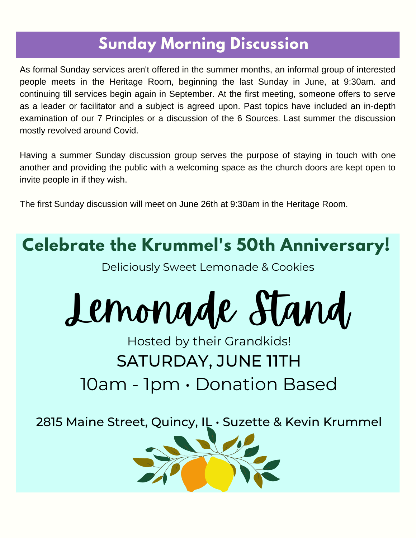## **Sunday Morning Discussion**

As formal Sunday services aren't offered in the summer months, an informal group of interested people meets in the Heritage Room, beginning the last Sunday in June, at 9:30am. and continuing till services begin again in September. At the first meeting, someone offers to serve as a leader or facilitator and a subject is agreed upon. Past topics have included an in-depth examination of our 7 Principles or a discussion of the 6 Sources. Last summer the discussion mostly revolved around Covid.

Having a summer Sunday discussion group serves the purpose of staying in touch with one another and providing the public with a welcoming space as the church doors are kept open to invite people in if they wish.

The first Sunday discussion will meet on June 26th at 9:30am in the Heritage Room.



Lemonade Stand

# Hosted by their Grandkids! SATURDAY, JUNE 11TH 10am - 1pm • Donation Based

2815 Maine Street, Quincy, IL • Suzette & Kevin Krummel